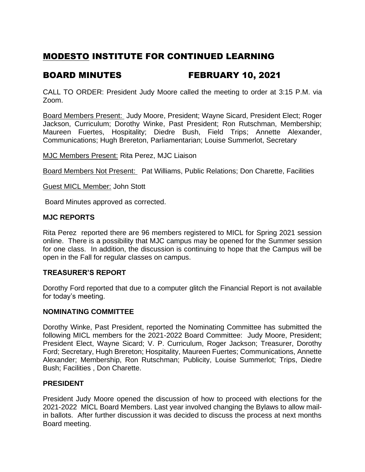# MODESTO INSTITUTE FOR CONTINUED LEARNING

# BOARD MINUTES FEBRUARY 10, 2021

CALL TO ORDER: President Judy Moore called the meeting to order at 3:15 P.M. via Zoom.

Board Members Present: Judy Moore, President; Wayne Sicard, President Elect; Roger Jackson, Curriculum; Dorothy Winke, Past President; Ron Rutschman, Membership; Maureen Fuertes, Hospitality; Diedre Bush, Field Trips; Annette Alexander, Communications; Hugh Brereton, Parliamentarian; Louise Summerlot, Secretary

MJC Members Present: Rita Perez, MJC Liaison

Board Members Not Present: Pat Williams, Public Relations; Don Charette, Facilities

Guest MICL Member: John Stott

Board Minutes approved as corrected.

#### **MJC REPORTS**

Rita Perez reported there are 96 members registered to MICL for Spring 2021 session online. There is a possibility that MJC campus may be opened for the Summer session for one class. In addition, the discussion is continuing to hope that the Campus will be open in the Fall for regular classes on campus.

## **TREASURER'S REPORT**

Dorothy Ford reported that due to a computer glitch the Financial Report is not available for today's meeting.

#### **NOMINATING COMMITTEE**

Dorothy Winke, Past President, reported the Nominating Committee has submitted the following MICL members for the 2021-2022 Board Committee: Judy Moore, President; President Elect, Wayne Sicard; V. P. Curriculum, Roger Jackson; Treasurer, Dorothy Ford; Secretary, Hugh Brereton; Hospitality, Maureen Fuertes; Communications, Annette Alexander; Membership, Ron Rutschman; Publicity, Louise Summerlot; Trips, Diedre Bush; Facilities , Don Charette.

#### **PRESIDENT**

President Judy Moore opened the discussion of how to proceed with elections for the 2021-2022 MICL Board Members. Last year involved changing the Bylaws to allow mailin ballots. After further discussion it was decided to discuss the process at next months Board meeting.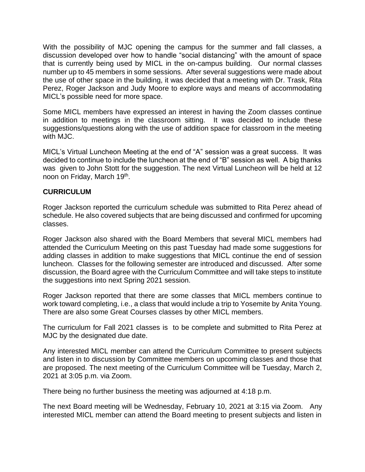With the possibility of MJC opening the campus for the summer and fall classes, a discussion developed over how to handle "social distancing" with the amount of space that is currently being used by MICL in the on-campus building. Our normal classes number up to 45 members in some sessions. After several suggestions were made about the use of other space in the building, it was decided that a meeting with Dr. Trask, Rita Perez, Roger Jackson and Judy Moore to explore ways and means of accommodating MICL's possible need for more space.

Some MICL members have expressed an interest in having the Zoom classes continue in addition to meetings in the classroom sitting. It was decided to include these suggestions/questions along with the use of addition space for classroom in the meeting with MJC.

MICL's Virtual Luncheon Meeting at the end of "A" session was a great success. It was decided to continue to include the luncheon at the end of "B" session as well. A big thanks was given to John Stott for the suggestion. The next Virtual Luncheon will be held at 12 noon on Friday, March 19<sup>th</sup>.

## **CURRICULUM**

Roger Jackson reported the curriculum schedule was submitted to Rita Perez ahead of schedule. He also covered subjects that are being discussed and confirmed for upcoming classes.

Roger Jackson also shared with the Board Members that several MICL members had attended the Curriculum Meeting on this past Tuesday had made some suggestions for adding classes in addition to make suggestions that MICL continue the end of session luncheon. Classes for the following semester are introduced and discussed. After some discussion, the Board agree with the Curriculum Committee and will take steps to institute the suggestions into next Spring 2021 session.

Roger Jackson reported that there are some classes that MICL members continue to work toward completing, i.e., a class that would include a trip to Yosemite by Anita Young. There are also some Great Courses classes by other MICL members.

The curriculum for Fall 2021 classes is to be complete and submitted to Rita Perez at MJC by the designated due date.

Any interested MICL member can attend the Curriculum Committee to present subjects and listen in to discussion by Committee members on upcoming classes and those that are proposed. The next meeting of the Curriculum Committee will be Tuesday, March 2, 2021 at 3:05 p.m. via Zoom.

There being no further business the meeting was adjourned at 4:18 p.m.

The next Board meeting will be Wednesday, February 10, 2021 at 3:15 via Zoom. Any interested MICL member can attend the Board meeting to present subjects and listen in